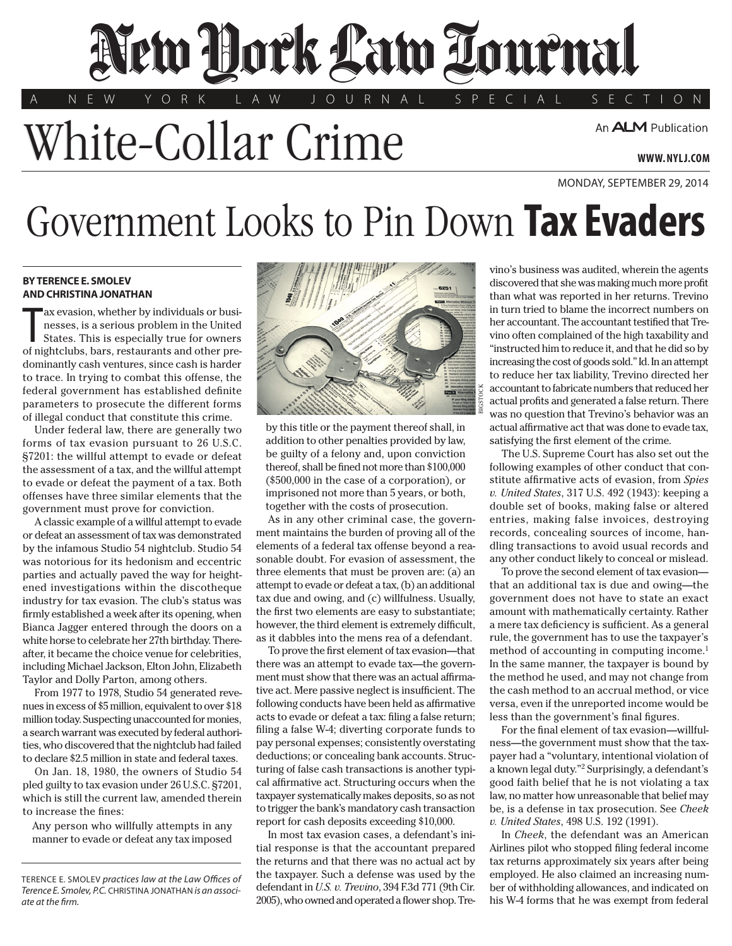## New Hork Law Lournal

A N E W Y O R K L A W J O U R N A L S P E C I A L S E C T I O N

White-Collar Crime

Monday, september 29, 2014

## Government Looks to Pin Down **Tax Evaders**

## **BY TERENCE E. SMOLEV and CHRISTINA JONATHAN**

ax evasion, whether by individuals or businesses, is a serious problem in the United States. This is especially true for owners of nightclubs, bars, restaurants and other preax evasion, whether by individuals or businesses, is a serious problem in the United States. This is especially true for owners dominantly cash ventures, since cash is harder to trace. In trying to combat this offense, the federal government has established definite parameters to prosecute the different forms of illegal conduct that constitute this crime.

Under federal law, there are generally two forms of tax evasion pursuant to 26 U.S.C. §7201: the willful attempt to evade or defeat the assessment of a tax, and the willful attempt to evade or defeat the payment of a tax. Both offenses have three similar elements that the government must prove for conviction.

A classic example of a willful attempt to evade or defeat an assessment of tax was demonstrated by the infamous Studio 54 nightclub. Studio 54 was notorious for its hedonism and eccentric parties and actually paved the way for heightened investigations within the discotheque industry for tax evasion. The club's status was firmly established a week after its opening, when Bianca Jagger entered through the doors on a white horse to celebrate her 27th birthday. Thereafter, it became the choice venue for celebrities, including Michael Jackson, Elton John, Elizabeth Taylor and Dolly Parton, among others.

From 1977 to 1978, Studio 54 generated revenues in excess of \$5 million, equivalent to over \$18 million today. Suspecting unaccounted for monies, a search warrant was executed by federal authorities, who discovered that the nightclub had failed to declare \$2.5 million in state and federal taxes.

On Jan. 18, 1980, the owners of Studio 54 pled guilty to tax evasion under 26 U.S.C. §7201, which is still the current law, amended therein to increase the fines:

Any person who willfully attempts in any manner to evade or defeat any tax imposed



by this title or the payment thereof shall, in addition to other penalties provided by law, be guilty of a felony and, upon conviction thereof, shall be fined not more than \$100,000 (\$500,000 in the case of a corporation), or imprisoned not more than 5 years, or both, together with the costs of prosecution.

As in any other criminal case, the government maintains the burden of proving all of the elements of a federal tax offense beyond a reasonable doubt. For evasion of assessment, the three elements that must be proven are: (a) an attempt to evade or defeat a tax, (b) an additional tax due and owing, and (c) willfulness. Usually, the first two elements are easy to substantiate; however, the third element is extremely difficult, as it dabbles into the mens rea of a defendant.

To prove the first element of tax evasion—that there was an attempt to evade tax—the government must show that there was an actual affirmative act. Mere passive neglect is insufficient. The following conducts have been held as affirmative acts to evade or defeat a tax: filing a false return; filing a false W-4; diverting corporate funds to pay personal expenses; consistently overstating deductions; or concealing bank accounts. Structuring of false cash transactions is another typical affirmative act. Structuring occurs when the taxpayer systematically makes deposits, so as not to trigger the bank's mandatory cash transaction report for cash deposits exceeding \$10,000.

In most tax evasion cases, a defendant's initial response is that the accountant prepared the returns and that there was no actual act by the taxpayer. Such a defense was used by the defendant in *U.S. v. Trevino*, 394 F.3d 771 (9th Cir. 2005), who owned and operated a flower shop. Tre-

vino's business was audited, wherein the agents discovered that she was making much more profit than what was reported in her returns. Trevino in turn tried to blame the incorrect numbers on her accountant. The accountant testified that Trevino often complained of the high taxability and "instructed him to reduce it, and that he did so by increasing the cost of goods sold." Id. In an attempt to reduce her tax liability, Trevino directed her accountant to fabricate numbers that reduced her actual profits and generated a false return. There was no question that Trevino's behavior was an actual affirmative act that was done to evade tax, satisfying the first element of the crime.

The U.S. Supreme Court has also set out the following examples of other conduct that constitute affirmative acts of evasion, from *[Spies](CITE: 317 U.S. 492) v. United States*[, 317 U.S. 492 \(1943\):](CITE: 317 U.S. 492) keeping a double set of books, making false or altered entries, making false invoices, destroying records, concealing sources of income, handling transactions to avoid usual records and any other conduct likely to conceal or mislead.

To prove the second element of tax evasion that an additional tax is due and owing—the government does not have to state an exact amount with mathematically certainty. Rather a mere tax deficiency is sufficient. As a general rule, the government has to use the taxpayer's method of accounting in computing income.<sup>1</sup> In the same manner, the taxpayer is bound by the method he used, and may not change from the cash method to an accrual method, or vice versa, even if the unreported income would be less than the government's final figures.

For the final element of tax evasion—willfulness—the government must show that the taxpayer had a "voluntary, intentional violation of a known legal duty."2 Surprisingly, a defendant's good faith belief that he is not violating a tax law, no matter how unreasonable that belief may be, is a defense in tax prosecution. See *[Cheek](CITE: 498 U.S. 192 )  v. United States*[, 498 U.S. 192 \(1991\).](CITE: 498 U.S. 192 )

In *Cheek*, the defendant was an American Airlines pilot who stopped filing federal income tax returns approximately six years after being employed. He also claimed an increasing number of withholding allowances, and indicated on his W-4 forms that he was exempt from federal

Terence E. Smolev *practices law at the Law Offices of Terence E. Smolev, P.C.* Christina Jonathan *is an associate at the firm.*